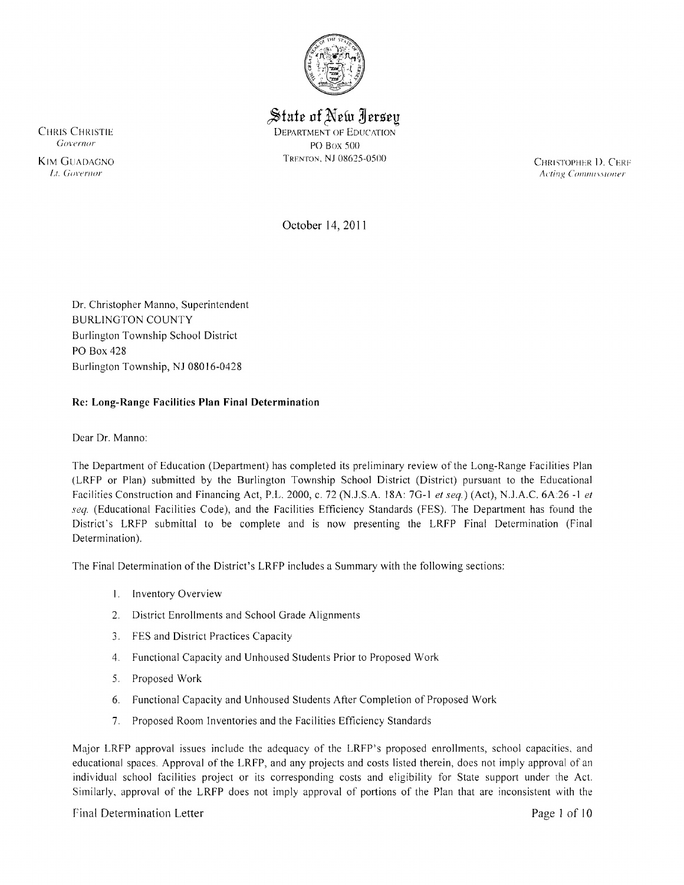

 $\frac{1}{2}$ State of New Jersey CHRIS CHRISTIE DEPARTMENT OF EDUCATION  $Gover nor$  PO Box 500 TRENTON, NJ 0862S-0S00

KIM GUADAGNO **EXAMPLE CONSUMER 19 CHRISTOPHER 1).** CERF<sup>T</sup> CHRISTOPHER 1. CERF<sup>T</sup> CHRISTOPHER 1. CERFT CONDUSSIONER 1. CONVERTING CONDUSSIONER 1. CONVERTING CONDUSSIONER 1. CERFT CONDUSSIONER 1. CERFT CONDUSSIONER 1. CONVE II. Governor **Acimento Acimento Acimento Acimento Acimento Acimento Acimento Acimento Acimento Acimento Acimento Acimento Acimento Acimento Acimento Acimento Acimento Acimento Acimento Acimento Acimento Acimento Acimento A** 

October 14, 201 1

Dr. Christopher Manno, Superintendent BURLINGTON COUNTY Burlington Township School District PO Box 428 Burlington Township, NJ 08016-0428

# **Re: Long-Range Facilities Plan Final Determination**

Dear Dr. Manno:

The Department of Education (Department) has completed its preliminary review of the Long-Range Facilities Plan (LRFP or Plan) submitted by the Burlington Township School District (District) pursuant to the Educational Facilities Construction and Financing Act, P.L. 2000, c. 72 (N.J.S.A. 18A: 7G-1 *et seq.*) (Act), N.J.A.C. 6A:26 -1 *et seq.* (Educational Facilities Code), and the Facilities Efficiency Standards (FES), The Department has found the District's LRFP submittal to be complete and is now presenting the LRFP Final Determination (Final Determination).

The Final Determination of the District's LRFP includes a Summary with the following sections:

- I, Inventory Overview
- 2. District Enrollments and School Grade Alignments
- 3. FES and District Practices Capacity
- 4. Functional Capacity and Unhoused Students Prior to Proposed Work
- 5. Proposed Work
- 6. Functional Capacity and Unhoused Students After Completion of Proposed Work
- 7. Proposed Room Inventories and the Facilities Efficiency Standards

Major LRFP approval issues include the adequacy of the LRFP's proposed enrollments, school capacities, and educational spaces. Approval of the LRFP, and any projects and costs listed therein, does not imply approval of an individual school facilities project or its corresponding costs and eligibility for State support under the Act. Similarly, approval of the LRFP does not imply approval of portions of the Plan that are inconsistent with the

### Final Determination Letter **Page 1** of 10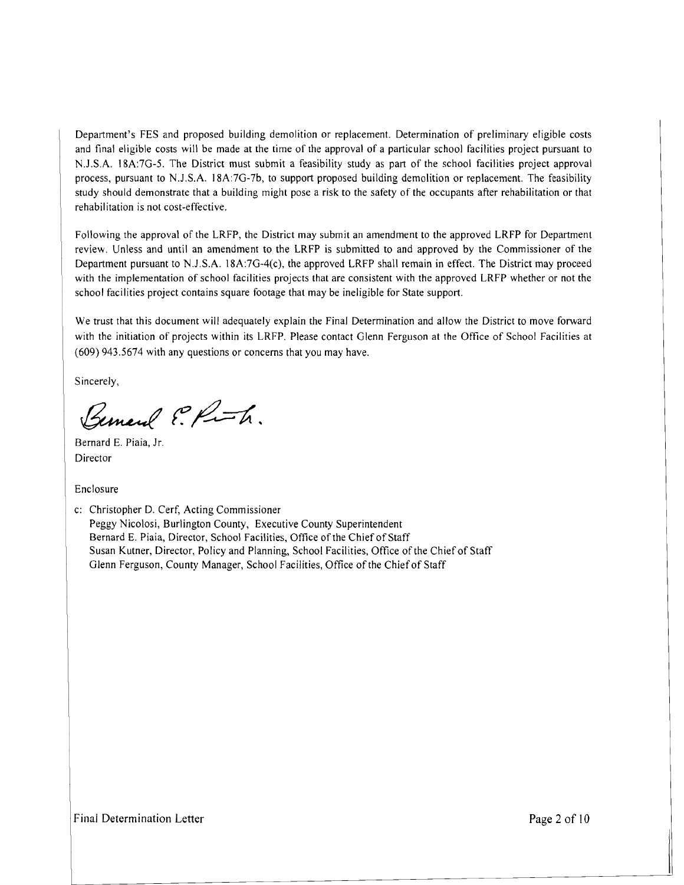Department's FES and proposed building demolition or replacement. Determination of preliminary eligible costs and final eligible costs will be made at the time of the approval of a particular school facilities project pursuant to N.J .SA 18A:7G-5. The District must submit a feasibility study as part of the school facilities project approval process, pursuant to N.J .S.A. 18A:7G-7b, to support proposed building demolition or replacement. The feasibility study should demonstrate that a building might pose a risk to the safety of the occupants after rehabilitation or that rehabilitation is not cost-effective.

Following the approval of the LRFP, the District may submit an amendment to the approved LRFP for Department review. Unless and until an amendment to the LRFP is submitted to and approved by the Commissioner of the Department pursuant to N.J.S.A. 18A:7G-4(c), the approved LRFP shall remain in effect. The District may proceed with the implementation of school facilities projects that are consistent with the approved LRFP whether or not the school facilities project contains square footage that may be ineligible for State support.

We trust that this document will adequately explain the Final Determination and allow the District to move forward with the initiation of projects within its LRFP. Please contact Glenn Ferguson at the Office of School Facilities at (609) 943.5674 with any questions or concerns that you may have.

Sincerely,

Bemard P. Ruth.

Bernard E. Piaia, Jr. Director

Enclosure

c: Christopher D. Cerf, Acting Commissioner Peggy Nicolosi, Burlington County, Executive County Superintendent Bernard E. Piaia, Director, School Facilities, Office of the Chief of Staff Susan Kutner, Director, Policy and Planning, School Facilities, Office of the Chief of Staff Glenn Ferguson, County Manager, School Facilities, Office of the Chief of Staff

Final Determination Letter and the state of the state of the Page 2 of 10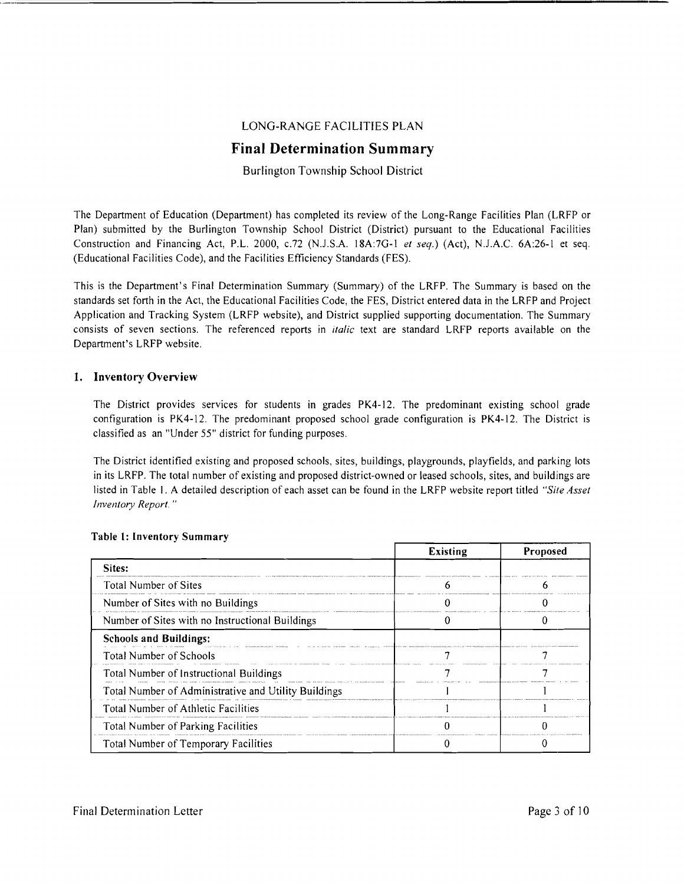# LONG-RANGE FACILITIES PLAN

# **Final Determination Summary**

# Burlington Township School District

The Department of Education (Department) has completed its review of the Long-Range Facilities Plan (LRFP or Plan) submitted by the Burlington Township School District (District) pursuant to the Educational Facilities Construction and Financing Act, P.L. 2000, c.72 (N.J.S.A. 18A:7G-1 *et seq.*) (Act), N.J.A.C. 6A:26-1 et seq. (Educational Facilities Code), and the Facilities Efficiency Standards (FES).

This is the Department's Final Determination Summary (Summary) of the LRFP. The Summary is based on the standards set forth in the Act, the Educational Facilities Code, the FES, District entered data in the LRFP and Project Application and Tracking System (LRFP website), and District supplied supporting documentation. The Summary consists of seven sections. The referenced reports in *italic* text are standard LRFP reports available on the Department's LRFP website.

### 1. Inventory Overview

The District provides services for students in grades PK4-12. The predominant existing school grade configuration is PK4-12. The predominant proposed school grade configuration is PK4-12. The District is classified as an "Under 55" district for funding purposes.

The District identified existing and proposed schools, sites, buildings, playgrounds, playfields, and parking lots in its LRFP. The total number of existing and proposed district-owned or leased schools, sites, and buildings are listed in Table I. A detailed description of each asset can be found in the LRFP website report titled *"Site Asset Inventory Report.*"

|                                                      | <b>Existing</b> | Proposed |
|------------------------------------------------------|-----------------|----------|
| Sites:                                               |                 |          |
| Total Number of Sites                                |                 |          |
| Number of Sites with no Buildings                    |                 |          |
| Number of Sites with no Instructional Buildings      |                 |          |
| <b>Schools and Buildings:</b>                        |                 |          |
| <b>Total Number of Schools</b>                       |                 |          |
| Total Number of Instructional Buildings              |                 |          |
| Total Number of Administrative and Utility Buildings |                 |          |
| Total Number of Athletic Facilities                  |                 |          |
| Total Number of Parking Facilities                   |                 |          |
| Total Number of Temporary Facilities                 |                 |          |

### Table I: Inventory Summary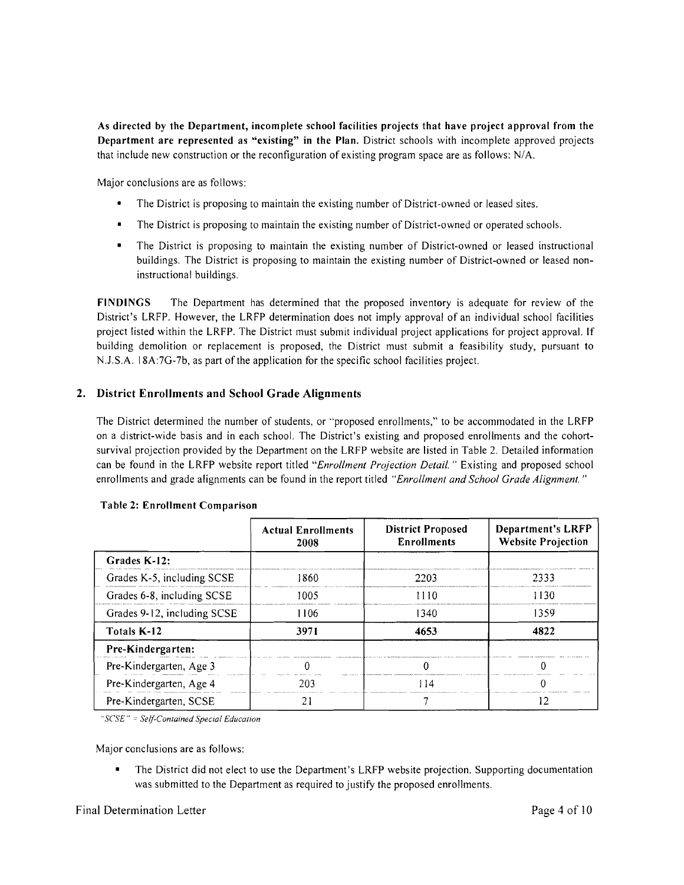As directed by the Department, incomplete school facilities projects that have project approval from the Department are represented as "existing" in the Plan. District schools with incomplete approved projects that include new construction or the reconfiguration of existing program space are as follows: N/A.

Major conclusions are as follows:

- The District is proposing to maintain the existing number of District-owned or leased sites.
- The District is proposing to maintain the existing number of District-owned or operated schools.
- The District is proposing to maintain the existing number of District-owned or leased instructional buildings. The District is proposing to maintain the existing number of District-owned or leased noninstructional buildings.

FINDINGS The Department has determined that the proposed inventory is adequate for review of the District's LRFP. However, the LRFP determination does not imply approval of an individual school facilities project listed within the LRFP. The District must submit individual project applications for project approval. If building demolition or replacement is proposed, the District must submit a feasibility study, pursuant to N.l.S.A. 18A:7G-7b, as part of the application for the specific school facil ities project.

# 2. District Enrollments and School Grade Alignments

The District determined the number of students, or "proposed enrollments," to be accommodated in the LRFP on a district-wide basis and in each school. The District's existing and proposed enrollments and the cohortsurvival projection provided by the Department on the LRFP website are listed in Table 2. Detailed information can be found in the LRFP website report titled *"Enrollment Projection Detail.* " Existing and proposed school enrollments and grade alignments can be found in the report titled *"Enrollment and School Grade Alignment."* 

|                             | <b>Actual Enrollments</b><br>2008 | <b>District Proposed</b><br><b>Enrollments</b> | Department's LRFP<br><b>Website Projection</b> |
|-----------------------------|-----------------------------------|------------------------------------------------|------------------------------------------------|
| Grades K-12:                |                                   |                                                |                                                |
| Grades K-5, including SCSE  | 1860                              | 2203                                           | 2333                                           |
| Grades 6-8, including SCSE  | 1005                              | 1110                                           | 1130                                           |
| Grades 9-12, including SCSE | 1106                              | 1340                                           | 1359                                           |
| Totals K-12                 | 3971                              | 4653                                           | 4822                                           |
| Pre-Kindergarten:           |                                   |                                                |                                                |
| Pre-Kindergarten, Age 3     |                                   |                                                |                                                |
| Pre-Kindergarten, Age 4     | วกว                               | l 14                                           |                                                |
| Pre-Kindergarten, SCSE      |                                   |                                                |                                                |

#### Table 2: Enrollment Comparison

*"seSE" Self-Contained SpeCial Education* 

Major conclusions are as follows:

The District did not elect to use the Department's LRFP website projection. Supporting documentation was submitted to the Department as required to justify the proposed enrollments.

### Final Determination Letter **Page 4 of 10**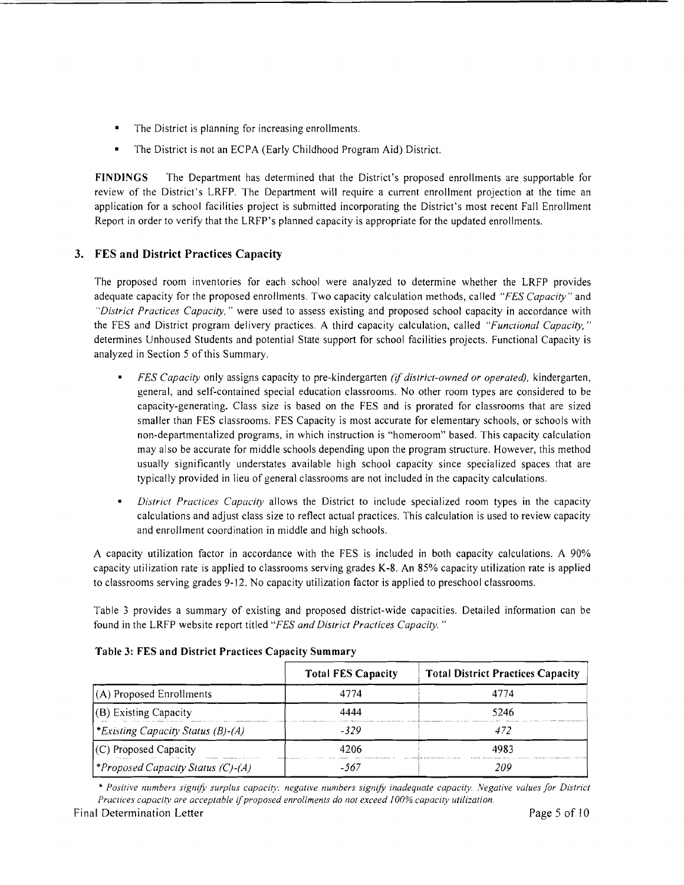- $\blacksquare$ The District is planning for increasing enrollments.
- The District is not an ECPA (Early Childhood Program Aid) District.

FINDINGS The Department has determined that the District's proposed enrollments are supportable for review of the District's LRFP. The Department will require a current enrollment projection at the time an application for a school facilities project is submitted incorporating the District's most recent Fall Enrollment Report in order to verify that the LRFP's planned capacity is appropriate for the updated enrollments.

# 3. FES and District Practices Capacity

The proposed room inventories for each school were analyzed to determine whether the LRFP provides adequate capacity for the proposed enrollments. Two capacity calculation methods, called *"FES Capacity"* and *"District Practices Capacity,* " were used to assess existing and proposed school capacity in accordance with the FES and District program delivery practices. A third capacity calculation, called *"Functional Capacity, "*  determines Unhoused Students and potential State support for school facilities projects. Functional Capacity is analyzed in Section 5 of this Summary.

- *FES Capacity* only assigns capacity to pre-kindergarten *(if district-owned or operated),* kindergarten, general, and self-contained special education classrooms. No other room types are considered to be capacity-generating. Class size is based on the FES and is prorated for classrooms that are sized smaller than FES classrooms. FES Capacity is most accurate for elementary schools, or schools with non-departmentalized programs, in which instruction is "homeroom" based. This capacity calculation may also be accurate for middle schools depending upon the program structure. However, this method usually significantly understates available high school capacity since specialized spaces that are typically provided in lieu of general classrooms are not included in the capacity calculations.
- *District Practices Capacity* allows the District to include specialized room types in the capacity calculations and adjust class size to reflect actual practices. This calculation is used to review capacity and enrollment coordination in middle and high schools.

A capacity utilization factor in accordance with the FES is included in both capacity calculations. A 90% capacity utilization rate is applied to classrooms serving grades K-8. An 85% capacity utilization rate is applied to classrooms serving grades 9-12. No capacity utilization factor is applied to preschool classrooms.

Table 3 provides a summary of existing and proposed district-wide capacities. Detailed information can be found in the LRFP website report titled *"FES and District Practices Capacity. "* 

|                                          | <b>Total FES Capacity</b> | <b>Total District Practices Capacity</b> |
|------------------------------------------|---------------------------|------------------------------------------|
| $(A)$ Proposed Enrollments               | 4774                      | 4774                                     |
| $(B)$ Existing Capacity                  | 4444                      | 5246                                     |
| <i>Existing Capacity Status (B)-(A)</i>  | -329                      | 472                                      |
| (C) Proposed Capacity                    | 4206                      | 4983                                     |
| <i>*Proposed Capacity Status (C)-(A)</i> | -567                      | 209                                      |

### Table 3: FES and District Practices Capacity Summary

\* Positive numbers signify surplus capacity; negative numbers signify inadequate capacity. Negative values for District *Practices capacity are acceptable if proposed enrollments do not exceed 100% capacity utilization.*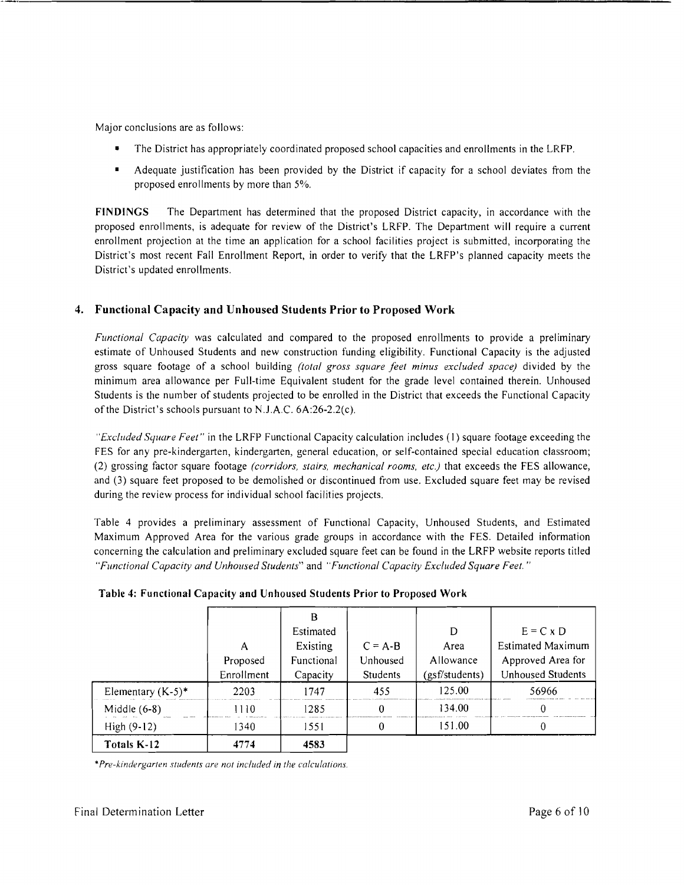Major conclusions are as follows:

- The District has appropriately coordinated proposed school capacities and enrollments in the LRFP.
- Adequate justification has been provided by the District if capacity for a school deviates from the proposed enrollments by more than 5%.

**FINDINGS** The Department has determined that the proposed District capacity, in accordance with the proposed enrollments, is adequate for review of the District's LRFP. The Department will require a current enrollment projection at the time an application for a school facilities project is submitted, incorporating the District's most recent Fall Enrollment Report, in order to verify that the LRFP's planned capacity meets the District's updated enrollments.

### **4. Functional Capacity and Unhoused Students Prior to Proposed Work**

*Functional Capacity* was calculated and compared to the proposed enrollments to provide a preliminary estimate of Unhoused Students and new construction funding eligibility. Functional Capacity is the adjusted gross square footage of a school building *(total gross square feet minus excluded space)* divided by the minimum area allowance per Full-time Equivalent student for the grade level contained therein. Unhoused Students is the number of students projected to be enrolled in the District that exceeds the Functional Capacity of the District's schools pursuant to N.J.A.C. 6A:26-2.2(c).

*"Excluded Square Feet"* in the LRFP Functional Capacity calculation includes (I) square footage exceeding the FES for any pre-kindergarten, kindergarten, general education, or self-contained special education classroom; (2) grossing factor square footage *(corridors, stairs, mechanical rooms, etc.)* that exceeds the FES allowance, and (3) square feet proposed to be demolished or discontinued from use. Excluded square feet may be revised during the review process for individual school facilities projects.

Table 4 provides a preliminary assessment of Functional Capacity, Unhoused Students, and Estimated Maximum Approved Area for the various grade groups in accordance with the FES. Detailed information concerning the calculation and preliminary excluded square feet can be found in the LRFP website reports titled *"Functional Capacity and Unhoused Students"* and *"Functional Capacity Excluded Square Feet. "* 

|                      | Α<br>Proposed<br>Enrollment | Estimated<br>Existing<br>Functional<br>Capacity | $C = A-B$<br>Unhoused<br>Students | D<br>Area<br>Allowance<br>(gsf/students) | $E = C \times D$<br><b>Estimated Maximum</b><br>Approved Area for<br><b>Unhoused Students</b> |
|----------------------|-----------------------------|-------------------------------------------------|-----------------------------------|------------------------------------------|-----------------------------------------------------------------------------------------------|
| Elementary $(K-5)^*$ | 2203                        | 1747                                            | 455                               | 125.00                                   | 56966                                                                                         |
| Middle $(6-8)$       | 1110                        | 1285                                            |                                   | 134.00                                   |                                                                                               |
| High $(9-12)$        | 1340                        | 1551                                            |                                   | 151.00                                   |                                                                                               |
| Totals K-12          | 4774                        | 4583                                            |                                   |                                          |                                                                                               |

#### **Table 4: Functional Capacity and Unhoused Students Prior to Proposed Work**

*·Pre-kindergarten stlldents are not included in the calculations.*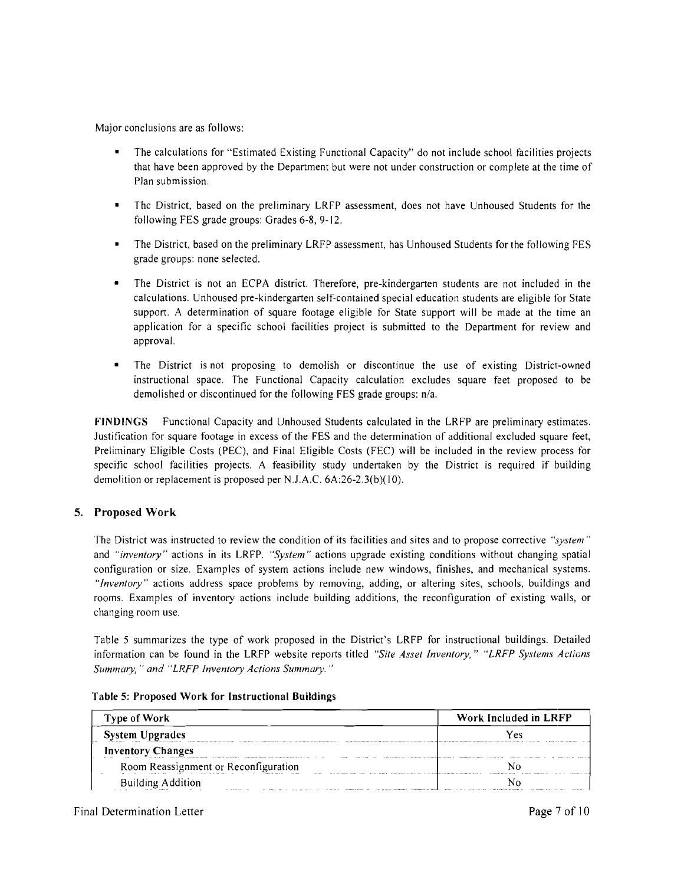Major conclusions are as follows:

- The calculations for "Estimated Existing Functional Capacity" do not include school facilities projects that have been approved by the Department but were not under construction or complete at the time of Plan submission.
- • The District, based on the preliminary LRFP assessment, does not have Unhoused Students for the following FES grade groups: Grades 6-8, 9-12.
- The District, based on the preliminary LRFP assessment, has Unhoused Students for the following FES grade groups: none selected.
- The District is not an ECPA district. Therefore, pre-kindergarten students are not included in the calculations. Unhoused pre-kindergarten self-contained special education students are eligible for State support. A determination of square footage eligible for State support will be made at the time an application for a specific school facilities project is submitted to the Department for review and approval.
- The District is not proposing to demolish or discontinue the use of existing District-owned instructional space. The Functional Capacity calculation excludes square feet proposed to be demolished or discontinued for the following FES grade groups: n/a.

FINDINGS Functional Capacity and Unhoused Students calculated in the LRFP are preliminary estimates. Justification for square footage in excess of the FES and the determination of additional excluded square feet, Preliminary Eligible Costs (PEC), and Final Eligible Costs (FEC) will be included in the review process for specific school facilities projects. A feasibility study undertaken by the District is required if building demolition or replacement is proposed per N.J.A.C. 6A:26-2.3(b)(I0).

# 5. Proposed Work

The District was instructed to review the condition of its facilities and sites and to propose corrective *"system"* and *"inventory"* actions in its LRFP. *"System"* actions upgrade existing conditions without changing spatial configuration or size. Examples of system actions include new windows, finishes, and mechanical systems. *"Inventory"* actions address space problems by removing, adding, or altering sites, schools, buildings and rooms. Examples of inventory actions include building additions, the reconfiguration of existing walls, or changing room use.

Table 5 summarizes the type of work proposed in the District's LRFP for instructional buildings. Detailed information can be found in the LRFP website reports titled *"Site Asset Inventory," "LRFP Systems Actions Summary,* " *and "LRFP Inventory Actions Summary. "* 

|  |  |  | Table 5: Proposed Work for Instructional Buildings |  |
|--|--|--|----------------------------------------------------|--|
|--|--|--|----------------------------------------------------|--|

| <b>Type of Work</b>                             | Work Included in LRFP |
|-------------------------------------------------|-----------------------|
| <b>System Upgrades</b>                          |                       |
| <b>Inventory Changes</b>                        |                       |
| Room Reassignment or Reconfiguration            |                       |
| <b>Building Addition</b><br><b>CALL 30 1979</b> |                       |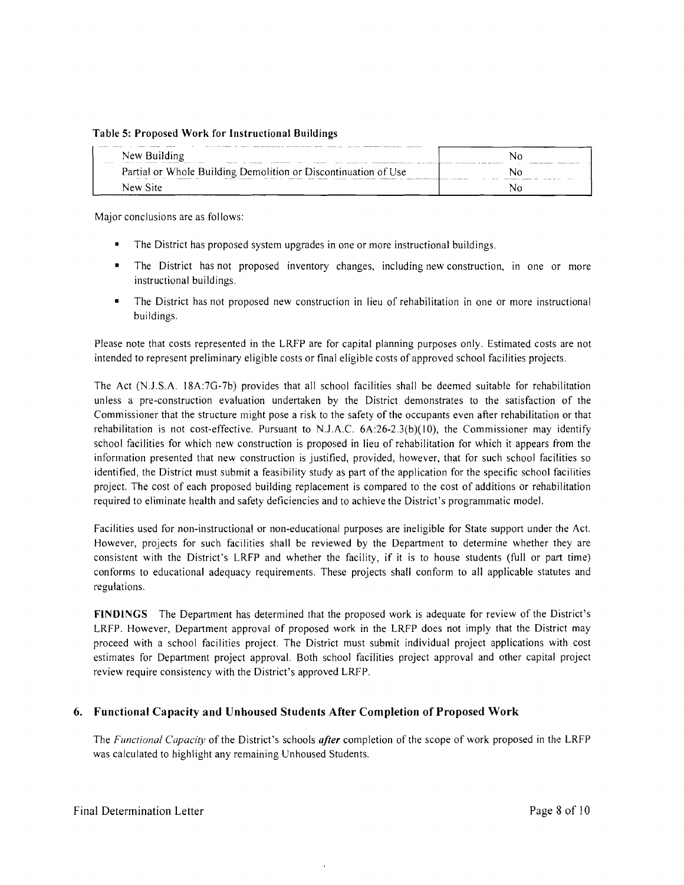#### **Table** 5: Proposed **Work** for **Instructional Buildings**

| A contractor | New Building<br>access to the constitution of the compact of the constitution of the constitution of the constitution of the constitution of the constitution of the constitution of the constitution of the constitution of the constitution<br>$-10 - 10 - 10 - 10 - 10 - 10 = 0$ | Nc         |
|--------------|-------------------------------------------------------------------------------------------------------------------------------------------------------------------------------------------------------------------------------------------------------------------------------------|------------|
|              | Partial or Whole Building Demolition or Discontinuation of Use<br>11.111<br>after the other<br>$111 - 11111$<br>$-$<br><br><br>Asset Ave.                                                                                                                                           | 100000<br> |
| New Site     |                                                                                                                                                                                                                                                                                     |            |

Major conclusions are as follows:

- The District has proposed system upgrades in one or more instructional buildings.
- The District has not proposed inventory changes, including new construction, in one or more instructional buildings.
- The District has not proposed new construction in lieu of rehabilitation in one or more instructional buildings.

Please note that costs represented in the LRFP are for capital planning purposes only. Estimated costs are not intended to represent preliminary eligible costs or final eligible costs of approved school facilities projects.

The Act (N.J.S.A. 18A:7G-7b) provides that all school facilities shall be deemed suitable for rehabilitation unless a pre-construction evaluation undertaken by the District demonstrates to the satisfaction of the Commissioner that the structure might pose a risk to the safety of the occupants even after rehabilitation or that rehabilitation is not cost-effective. Pursuant to N.J.A.C. 6A:26-2.3(b)(10), the Commissioner may identify school facilities for which new construction is proposed in lieu of rehabilitation for which it appears from the information presented that new construction is justified, provided, however, that for such school facilities so identified, the District must submit a feasibility study as part of the application for the specific school facilities project. The cost of each proposed building replacement is compared to the cost of additions or rehabilitation required to eliminate health and safety deficiencies and to achieve the District's programmatic model.

Facilities used for non-instructional or non-educational purposes are ineligible for State support under rhe Act. However, projects for such facilities shall be reviewed by the Department to determine whether they are consistent with the District's LRFP and whether the facility, if it is to house students (full or part time) conforms to educational adequacy requirements. These projects shall conform to all applicable statutes and regulations.

**FINDINGS** The Department has determined that the proposed work is adequate for review of the District's LRFP. However, Department approval of proposed work in the LRFP does not imply that the District may proceed with a school facilities project. The District must submit individual project applications with cost estimates for Department project approval. Both school facilities project approval and other capital project review require consistency with the District's approved LRFP.

### **6. Functional Capacity and Unhoused Students After Completion of Proposed Work**

The *Functional Capacity* of the District's schools *after* completion of the scope of work proposed in the LRFP was calculated to highlight any remaining Unhoused Students.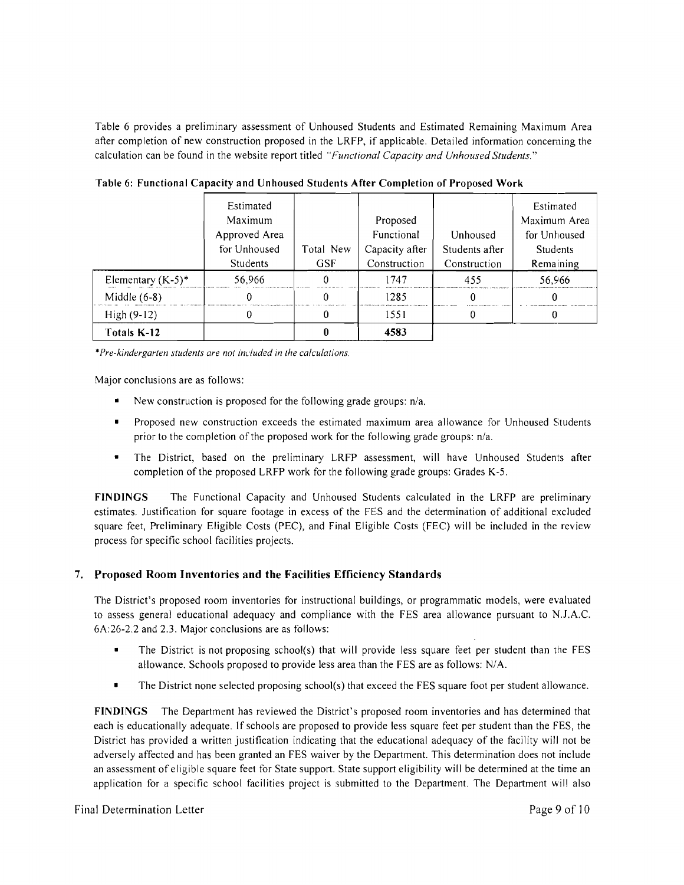Table 6 provides a preliminary assessment of Unhoused Students and Estimated Remaining Maximum Area after completion of new construction proposed in the LRFP, if applicable. Detailed information conceming the calculation can be found in the website report titled *"Functional Capacity and Unhoused Students."* 

|                      | Estimated     |            |                |                | Estimated       |
|----------------------|---------------|------------|----------------|----------------|-----------------|
|                      | Maximum       |            | Proposed       |                | Maximum Area    |
|                      | Approved Area |            | Functional     | Unhoused       | for Unhoused    |
|                      | for Unhoused  | Total New  | Capacity after | Students after | <b>Students</b> |
|                      | Students      | <b>GSF</b> | Construction   | Construction   | Remaining       |
| Elementary $(K-5)^*$ | 56.966        |            | 1747           | 455            | 56,966          |
| Middle $(6-8)$       |               |            | 1285           |                |                 |
| High (9-12)          |               |            | 1551           |                |                 |
| Totals K-12          |               |            | 4583           |                |                 |

Table 6: Functional Capacity and Unhoused Students After Completion of Proposed Work

*•Pre-kindergarten students are not included in the calculations.* 

Major conclusions are as follows:

- New construction is proposed for the following grade groups: *n*/a.
- Proposed new construction exceeds the estimated maximum area allowance for Unhoused Students prior to the completion of the proposed work for the following grade groups: *n/a.*
- • The District, based on the preliminary LRFP assessment, will have Unhoused Students after completion of the proposed LRFP work for the following grade groups: Grades K-5.

FINDINGS The Functional Capacity and Unhoused Students calculated in the LRFP are preliminary estimates. lustification for square footage in excess of the FES and the determination of additional excluded square feet, Preliminary Eligible Costs (PEC), and Final Eligible Costs (FEC) will be included in the review process for specific school facilities projects.

# 7. Proposed Room Inventories and the Facilities Efficiency Standards

The District's proposed room inventories for instructional buildings, or programmatic models, were evaluated to assess general educational adequacy and compliance with the FES area allowance pursuant to N.1.A.C. 6A:26-2.2 and 2.3. Major conclusions are as follows:

- The District is not proposing school(s) that will provide less square feet per student than the FES allowance. Schools proposed to provide less area than the FES are as follows: N/A.
- The District none selected proposing school(s) that exceed the FES square foot per student allowance.

FINDINGS The Department has reviewed the District's proposed room inventories and has determined that each is educationally adequate. If schools are proposed to provide less square feet per student than the FES, the District has provided a written justification indicating that the educational adequacy of the facility will not be adversely affected and has been granted an FES waiver by the Department. This determination does not include an assessment of eligible square feet for State support. State support eligibility will be determined at the time an application for a specific school facilities project is submitted to the Department. The Department will also